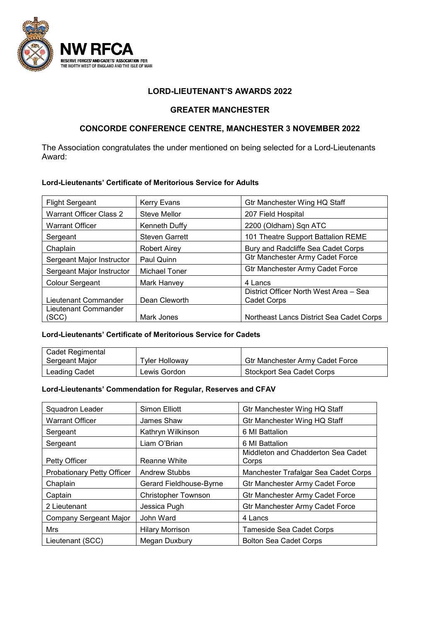

### **LORD-LIEUTENANT'S AWARDS 2022**

## **GREATER MANCHESTER**

# **CONCORDE CONFERENCE CENTRE, MANCHESTER 3 NOVEMBER 2022**

The Association congratulates the under mentioned on being selected for a Lord-Lieutenants Award:

#### **Lord-Lieutenants' Certificate of Meritorious Service for Adults**

| <b>Flight Sergeant</b>    | <b>Kerry Evans</b>    | Gtr Manchester Wing HQ Staff             |
|---------------------------|-----------------------|------------------------------------------|
| Warrant Officer Class 2   | <b>Steve Mellor</b>   | 207 Field Hospital                       |
| <b>Warrant Officer</b>    | Kenneth Duffy         | 2200 (Oldham) Sqn ATC                    |
| Sergeant                  | <b>Steven Garrett</b> | 101 Theatre Support Battalion REME       |
| Chaplain                  | <b>Robert Airey</b>   | Bury and Radcliffe Sea Cadet Corps       |
| Sergeant Major Instructor | Paul Quinn            | <b>Gtr Manchester Army Cadet Force</b>   |
| Sergeant Major Instructor | <b>Michael Toner</b>  | <b>Gtr Manchester Army Cadet Force</b>   |
| Colour Sergeant           | Mark Hanvey           | 4 Lancs                                  |
|                           |                       | District Officer North West Area - Sea   |
| Lieutenant Commander      | Dean Cleworth         | Cadet Corps                              |
| Lieutenant Commander      |                       |                                          |
| (SCC)                     | Mark Jones            | Northeast Lancs District Sea Cadet Corps |

### **Lord-Lieutenants' Certificate of Meritorious Service for Cadets**

| Cadet Regimental |                |                                        |
|------------------|----------------|----------------------------------------|
| Sergeant Major   | Tyler Holloway | <b>Gtr Manchester Army Cadet Force</b> |
| Leading Cadet    | Lewis Gordon   | Stockport Sea Cadet Corps              |

#### **Lord-Lieutenants' Commendation for Regular, Reserves and CFAV**

| Squadron Leader                   | Simon Elliott              | <b>Gtr Manchester Wing HQ Staff</b>         |
|-----------------------------------|----------------------------|---------------------------------------------|
| <b>Warrant Officer</b>            | James Shaw                 | <b>Gtr Manchester Wing HQ Staff</b>         |
| Sergeant                          | Kathryn Wilkinson          | 6 MI Battalion                              |
| Sergeant                          | Liam O'Brian               | 6 MI Battalion                              |
| Petty Officer                     | <b>Reanne White</b>        | Middleton and Chadderton Sea Cadet<br>Corps |
| <b>Probationary Petty Officer</b> | <b>Andrew Stubbs</b>       | Manchester Trafalgar Sea Cadet Corps        |
| Chaplain                          | Gerard Fieldhouse-Byrne    | <b>Gtr Manchester Army Cadet Force</b>      |
| Captain                           | <b>Christopher Townson</b> | <b>Gtr Manchester Army Cadet Force</b>      |
| 2 Lieutenant                      | Jessica Pugh               | <b>Gtr Manchester Army Cadet Force</b>      |
| <b>Company Sergeant Major</b>     | John Ward                  | 4 Lancs                                     |
| Mrs                               | <b>Hilary Morrison</b>     | <b>Tameside Sea Cadet Corps</b>             |
| Lieutenant (SCC)                  | Megan Duxbury              | <b>Bolton Sea Cadet Corps</b>               |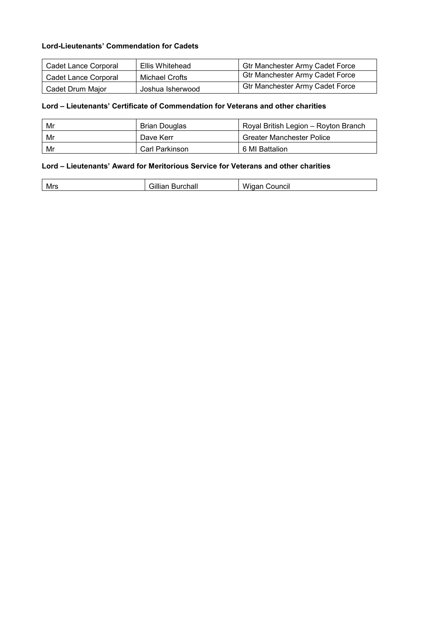### **Lord-Lieutenants' Commendation for Cadets**

| Cadet Lance Corporal | Ellis Whitehead  | <b>Gtr Manchester Army Cadet Force</b> |
|----------------------|------------------|----------------------------------------|
| Cadet Lance Corporal | Michael Crofts   | <b>Gtr Manchester Army Cadet Force</b> |
| Cadet Drum Maior     | Joshua Isherwood | <b>Gtr Manchester Army Cadet Force</b> |

# **Lord – Lieutenants' Certificate of Commendation for Veterans and other charities**

| Mr | Brian Douglas  | Royal British Legion - Royton Branch |
|----|----------------|--------------------------------------|
| Mr | Dave Kerr      | <b>Greater Manchester Police</b>     |
| Mr | Carl Parkinson | 6 MI Battalion                       |

# **Lord – Lieutenants' Award for Meritorious Service for Veterans and other charities**

| Mrs<br>EЫL.<br>лаг | .<br>w<br>- - - - - - -<br>ounci. |
|--------------------|-----------------------------------|
|--------------------|-----------------------------------|